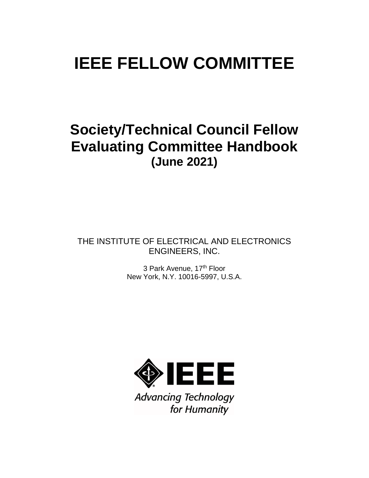# **IEEE FELLOW COMMITTEE**

## **Society/Technical Council Fellow Evaluating Committee Handbook (June 2021)**

THE INSTITUTE OF ELECTRICAL AND ELECTRONICS ENGINEERS, INC.

> 3 Park Avenue, 17th Floor New York, N.Y. 10016-5997, U.S.A.



**Advancing Technology** for Humanity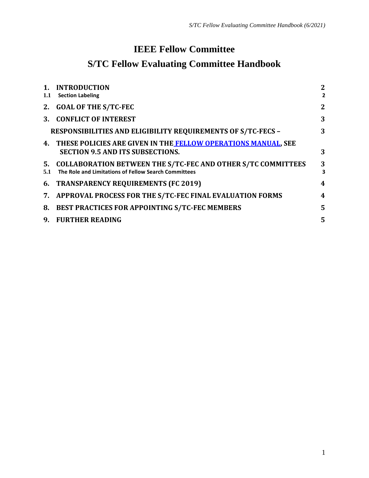### **IEEE Fellow Committee**

## **S/TC Fellow Evaluating Committee Handbook**

| $1_{-}$<br>1.1 | <b>INTRODUCTION</b><br><b>Section Labeling</b>                                                                          | $\boldsymbol{2}$<br>$\overline{2}$ |
|----------------|-------------------------------------------------------------------------------------------------------------------------|------------------------------------|
|                | 2. GOAL OF THE S/TC-FEC                                                                                                 | $\boldsymbol{2}$                   |
|                | 3. CONFLICT OF INTEREST                                                                                                 | 3                                  |
|                | <b>RESPONSIBILITIES AND ELIGIBILITY REQUIREMENTS OF S/TC-FECS -</b>                                                     | 3                                  |
|                | 4. THESE POLICIES ARE GIVEN IN THE FELLOW OPERATIONS MANUAL, SEE<br><b>SECTION 9.5 AND ITS SUBSECTIONS.</b>             | 3                                  |
| 5.1            | 5. COLLABORATION BETWEEN THE S/TC-FEC AND OTHER S/TC COMMITTEES<br>The Role and Limitations of Fellow Search Committees | 3<br>$\overline{\mathbf{3}}$       |
|                | 6. TRANSPARENCY REQUIREMENTS (FC 2019)                                                                                  | 4                                  |
|                | 7. APPROVAL PROCESS FOR THE S/TC-FEC FINAL EVALUATION FORMS                                                             | $\boldsymbol{4}$                   |
| 8.             | <b>BEST PRACTICES FOR APPOINTING S/TC-FEC MEMBERS</b>                                                                   | 5                                  |
| 9.             | <b>FURTHER READING</b>                                                                                                  | 5                                  |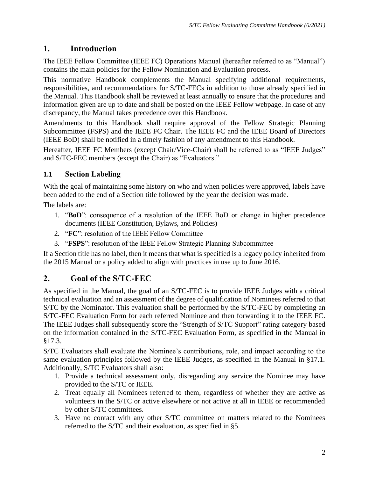#### **1. Introduction**

The IEEE Fellow Committee (IEEE FC) Operations Manual (hereafter referred to as "Manual") contains the main policies for the Fellow Nomination and Evaluation process.

This normative Handbook complements the Manual specifying additional requirements, responsibilities, and recommendations for S/TC-FECs in addition to those already specified in the Manual. This Handbook shall be reviewed at least annually to ensure that the procedures and information given are up to date and shall be posted on the IEEE Fellow webpage. In case of any discrepancy, the Manual takes precedence over this Handbook.

Amendments to this Handbook shall require approval of the Fellow Strategic Planning Subcommittee (FSPS) and the IEEE FC Chair. The IEEE FC and the IEEE Board of Directors (IEEE BoD) shall be notified in a timely fashion of any amendment to this Handbook.

Hereafter, IEEE FC Members (except Chair/Vice-Chair) shall be referred to as "IEEE Judges" and S/TC-FEC members (except the Chair) as "Evaluators."

#### **1.1 Section Labeling**

With the goal of maintaining some history on who and when policies were approved, labels have been added to the end of a Section title followed by the year the decision was made.

The labels are:

- 1. "**BoD**": consequence of a resolution of the IEEE BoD or change in higher precedence documents (IEEE Constitution, Bylaws, and Policies)
- 2. "**FC**": resolution of the IEEE Fellow Committee
- 3. "**FSPS**": resolution of the IEEE Fellow Strategic Planning Subcommittee

If a Section title has no label, then it means that what is specified is a legacy policy inherited from the 2015 Manual or a policy added to align with practices in use up to June 2016.

#### **2. Goal of the S/TC-FEC**

As specified in the Manual, the goal of an S/TC-FEC is to provide IEEE Judges with a critical technical evaluation and an assessment of the degree of qualification of Nominees referred to that S/TC by the Nominator. This evaluation shall be performed by the S/TC-FEC by completing an S/TC-FEC Evaluation Form for each referred Nominee and then forwarding it to the IEEE FC. The IEEE Judges shall subsequently score the "Strength of S/TC Support" rating category based on the information contained in the S/TC-FEC Evaluation Form, as specified in the Manual in §17.3.

S/TC Evaluators shall evaluate the Nominee's contributions, role, and impact according to the same evaluation principles followed by the IEEE Judges, as specified in the Manual in §17.1. Additionally, S/TC Evaluators shall also:

- 1. Provide a technical assessment only, disregarding any service the Nominee may have provided to the S/TC or IEEE.
- 2. Treat equally all Nominees referred to them, regardless of whether they are active as volunteers in the S/TC or active elsewhere or not active at all in IEEE or recommended by other S/TC committees.
- 3. Have no contact with any other S/TC committee on matters related to the Nominees referred to the S/TC and their evaluation, as specified in [§5.](#page-3-0)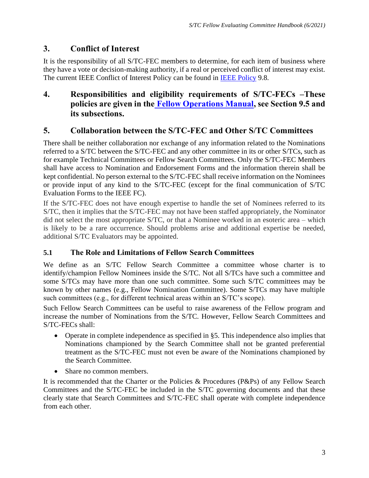#### **3. Conflict of Interest**

It is the responsibility of all S/TC-FEC members to determine, for each item of business where they have a vote or decision-making authority, if a real or perceived conflict of interest may exist. The current IEEE Conflict of Interest Policy can be found in IEEE [Policy](http://www.ieee.org/documents/ieee_policies.pdf) 9.8.

#### <span id="page-3-1"></span>**4. Responsibilities and eligibility requirements of S/TC-FECs –These policies are given in the [Fellow Operations Manual,](https://www.ieee.org/content/dam/ieee-org/ieee/web/org/govern/fellow_operations_manual.pdf) see Section 9.5 and its subsections.**

#### <span id="page-3-0"></span>**5. Collaboration between the S/TC-FEC and Other S/TC Committees**

There shall be neither collaboration nor exchange of any information related to the Nominations referred to a S/TC between the S/TC-FEC and any other committee in its or other S/TCs, such as for example Technical Committees or Fellow Search Committees. Only the S/TC-FEC Members shall have access to Nomination and Endorsement Forms and the information therein shall be kept confidential. No person external to the S/TC-FEC shall receive information on the Nominees or provide input of any kind to the S/TC-FEC (except for the final communication of S/TC Evaluation Forms to the IEEE FC).

If the S/TC-FEC does not have enough expertise to handle the set of Nominees referred to its S/TC, then it implies that the S/TC-FEC may not have been staffed appropriately, the Nominator did not select the most appropriate S/TC, or that a Nominee worked in an esoteric area – which is likely to be a rare occurrence. Should problems arise and additional expertise be needed, additional S/TC Evaluators may be appointed.

#### **5.1 The Role and Limitations of Fellow Search Committees**

We define as an S/TC Fellow Search Committee a committee whose charter is to identify/champion Fellow Nominees inside the S/TC. Not all S/TCs have such a committee and some S/TCs may have more than one such committee. Some such S/TC committees may be known by other names (e.g., Fellow Nomination Committee). Some S/TCs may have multiple such committees (e.g., for different technical areas within an S/TC's scope).

Such Fellow Search Committees can be useful to raise awareness of the Fellow program and increase the number of Nominations from the S/TC. However, Fellow Search Committees and S/TC-FECs shall:

- Operate in complete independence as specified in [§5.](#page-3-0) This independence also implies that Nominations championed by the Search Committee shall not be granted preferential treatment as the S/TC-FEC must not even be aware of the Nominations championed by the Search Committee.
- Share no common members.

It is recommended that the Charter or the Policies & Procedures (P&Ps) of any Fellow Search Committees and the S/TC-FEC be included in the S/TC governing documents and that these clearly state that Search Committees and S/TC-FEC shall operate with complete independence from each other.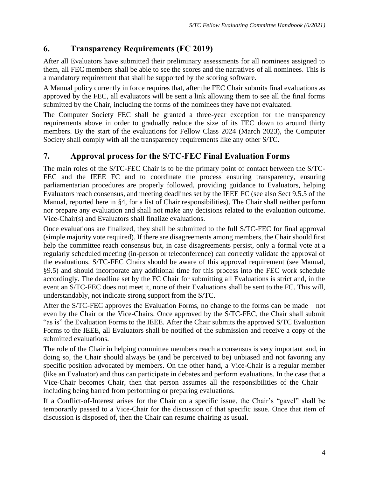#### **6. Transparency Requirements (FC 2019)**

After all Evaluators have submitted their preliminary assessments for all nominees assigned to them, all FEC members shall be able to see the scores and the narratives of all nominees. This is a mandatory requirement that shall be supported by the scoring software.

A Manual policy currently in force requires that, after the FEC Chair submits final evaluations as approved by the FEC, all evaluators will be sent a link allowing them to see all the final forms submitted by the Chair, including the forms of the nominees they have not evaluated.

The Computer Society FEC shall be granted a three-year exception for the transparency requirements above in order to gradually reduce the size of its FEC down to around thirty members. By the start of the evaluations for Fellow Class 2024 (March 2023), the Computer Society shall comply with all the transparency requirements like any other S/TC.

#### **7. Approval process for the S/TC-FEC Final Evaluation Forms**

The main roles of the S/TC-FEC Chair is to be the primary point of contact between the S/TC-FEC and the IEEE FC and to coordinate the process ensuring transparency, ensuring parliamentarian procedures are properly followed, providing guidance to Evaluators, helping Evaluators reach consensus, and meeting deadlines set by the IEEE FC (see also Sect 9.5.5 of the Manual, reported here in [§4,](#page-3-1) for a list of Chair responsibilities). The Chair shall neither perform nor prepare any evaluation and shall not make any decisions related to the evaluation outcome. Vice-Chair(s) and Evaluators shall finalize evaluations.

Once evaluations are finalized, they shall be submitted to the full S/TC-FEC for final approval (simple majority vote required). If there are disagreements among members, the Chair should first help the committee reach consensus but, in case disagreements persist, only a formal vote at a regularly scheduled meeting (in-person or teleconference) can correctly validate the approval of the evaluations. S/TC-FEC Chairs should be aware of this approval requirement (see Manual, §9.5) and should incorporate any additional time for this process into the FEC work schedule accordingly. The deadline set by the FC Chair for submitting all Evaluations is strict and, in the event an S/TC-FEC does not meet it, none of their Evaluations shall be sent to the FC. This will, understandably, not indicate strong support from the S/TC.

After the S/TC-FEC approves the Evaluation Forms, no change to the forms can be made – not even by the Chair or the Vice-Chairs. Once approved by the S/TC-FEC, the Chair shall submit "as is" the Evaluation Forms to the IEEE. After the Chair submits the approved S/TC Evaluation Forms to the IEEE, all Evaluators shall be notified of the submission and receive a copy of the submitted evaluations.

The role of the Chair in helping committee members reach a consensus is very important and, in doing so, the Chair should always be (and be perceived to be) unbiased and not favoring any specific position advocated by members. On the other hand, a Vice-Chair is a regular member (like an Evaluator) and thus can participate in debates and perform evaluations. In the case that a Vice-Chair becomes Chair, then that person assumes all the responsibilities of the Chair – including being barred from performing or preparing evaluations.

If a Conflict-of-Interest arises for the Chair on a specific issue, the Chair's "gavel" shall be temporarily passed to a Vice-Chair for the discussion of that specific issue. Once that item of discussion is disposed of, then the Chair can resume chairing as usual.